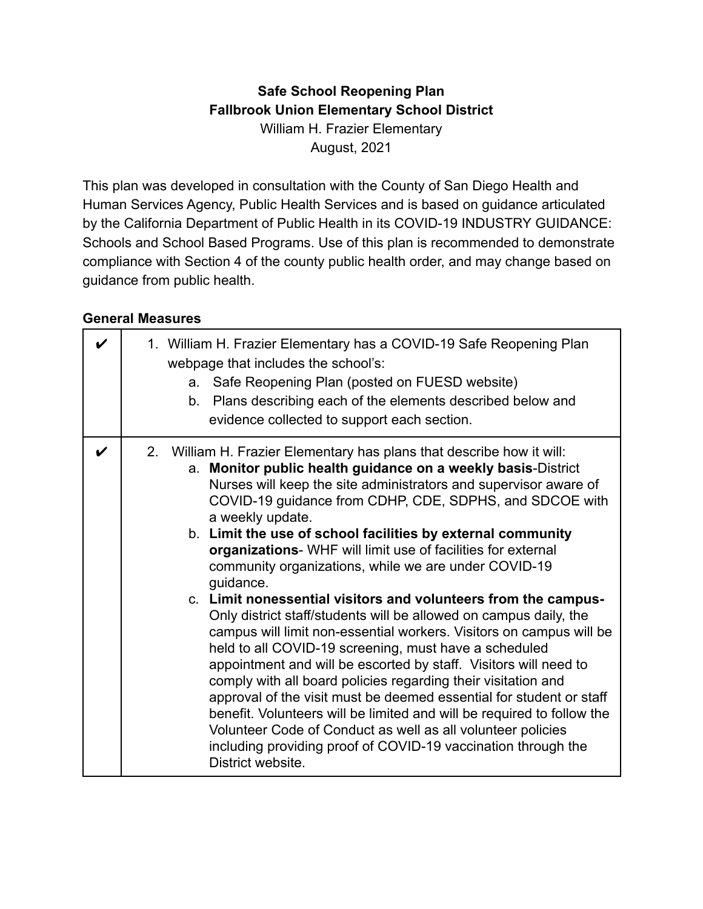### **Safe School Reopening Plan Fallbrook Union Elementary School District** William H. Frazier Elementary August, 2021

This plan was developed in consultation with the County of San Diego Health and Human Services Agency, Public Health Services and is based on guidance articulated by the California Department of Public Health in its COVID-19 INDUSTRY GUIDANCE: Schools and School Based Programs. Use of this plan is recommended to demonstrate compliance with Section 4 of the county public health order, and may change based on guidance from public health.

#### **General Measures**

|                    | 1. William H. Frazier Elementary has a COVID-19 Safe Reopening Plan<br>webpage that includes the school's:<br>a. Safe Reopening Plan (posted on FUESD website)<br>b. Plans describing each of the elements described below and<br>evidence collected to support each section.                                                                                                                                                                                                                                                                                                                                                                                                                                                                                                                                                                                                                                                                                                                                                                                                                                                                                                                                  |
|--------------------|----------------------------------------------------------------------------------------------------------------------------------------------------------------------------------------------------------------------------------------------------------------------------------------------------------------------------------------------------------------------------------------------------------------------------------------------------------------------------------------------------------------------------------------------------------------------------------------------------------------------------------------------------------------------------------------------------------------------------------------------------------------------------------------------------------------------------------------------------------------------------------------------------------------------------------------------------------------------------------------------------------------------------------------------------------------------------------------------------------------------------------------------------------------------------------------------------------------|
| $\boldsymbol{\nu}$ | 2. William H. Frazier Elementary has plans that describe how it will:<br>a. Monitor public health guidance on a weekly basis-District<br>Nurses will keep the site administrators and supervisor aware of<br>COVID-19 guidance from CDHP, CDE, SDPHS, and SDCOE with<br>a weekly update.<br>b. Limit the use of school facilities by external community<br>organizations- WHF will limit use of facilities for external<br>community organizations, while we are under COVID-19<br>quidance.<br>c. Limit nonessential visitors and volunteers from the campus-<br>Only district staff/students will be allowed on campus daily, the<br>campus will limit non-essential workers. Visitors on campus will be<br>held to all COVID-19 screening, must have a scheduled<br>appointment and will be escorted by staff. Visitors will need to<br>comply with all board policies regarding their visitation and<br>approval of the visit must be deemed essential for student or staff<br>benefit. Volunteers will be limited and will be required to follow the<br>Volunteer Code of Conduct as well as all volunteer policies<br>including providing proof of COVID-19 vaccination through the<br>District website. |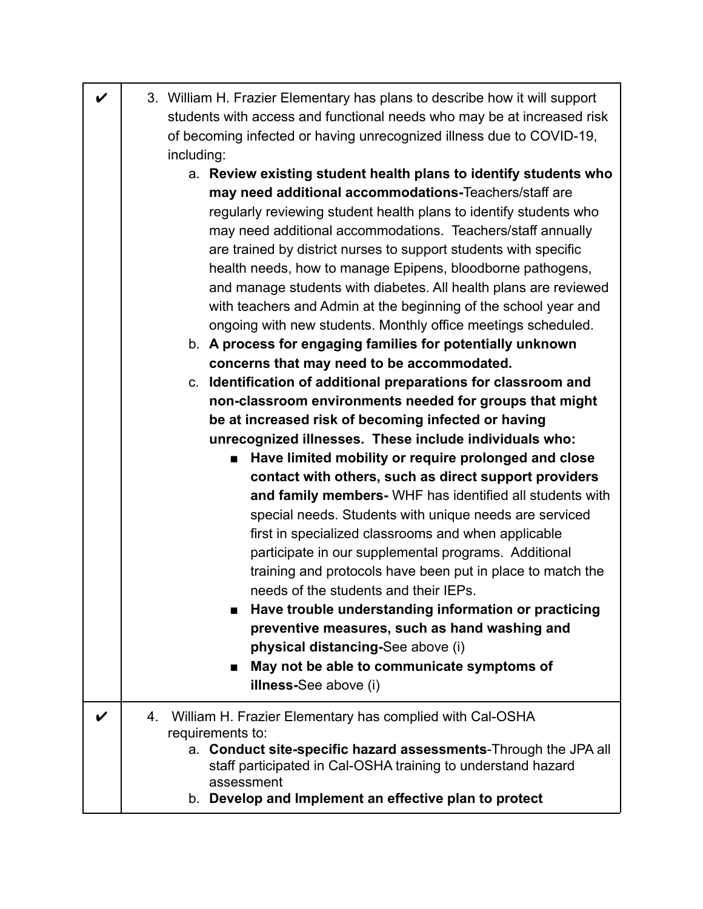| $\boldsymbol{\nu}$ | 3. William H. Frazier Elementary has plans to describe how it will support<br>students with access and functional needs who may be at increased risk                                                 |
|--------------------|------------------------------------------------------------------------------------------------------------------------------------------------------------------------------------------------------|
|                    | of becoming infected or having unrecognized illness due to COVID-19,<br>including:                                                                                                                   |
|                    | a. Review existing student health plans to identify students who<br>may need additional accommodations-Teachers/staff are                                                                            |
|                    | regularly reviewing student health plans to identify students who<br>may need additional accommodations. Teachers/staff annually<br>are trained by district nurses to support students with specific |
|                    | health needs, how to manage Epipens, bloodborne pathogens,<br>and manage students with diabetes. All health plans are reviewed                                                                       |
|                    | with teachers and Admin at the beginning of the school year and<br>ongoing with new students. Monthly office meetings scheduled.                                                                     |
|                    | b. A process for engaging families for potentially unknown                                                                                                                                           |
|                    | concerns that may need to be accommodated.                                                                                                                                                           |
|                    | c. Identification of additional preparations for classroom and<br>non-classroom environments needed for groups that might                                                                            |
|                    | be at increased risk of becoming infected or having                                                                                                                                                  |
|                    | unrecognized illnesses. These include individuals who:                                                                                                                                               |
|                    | Have limited mobility or require prolonged and close<br>■                                                                                                                                            |
|                    | contact with others, such as direct support providers                                                                                                                                                |
|                    | and family members- WHF has identified all students with                                                                                                                                             |
|                    | special needs. Students with unique needs are serviced                                                                                                                                               |
|                    | first in specialized classrooms and when applicable                                                                                                                                                  |
|                    | participate in our supplemental programs. Additional                                                                                                                                                 |
|                    | training and protocols have been put in place to match the<br>needs of the students and their IEPs.                                                                                                  |
|                    | Have trouble understanding information or practicing<br>п                                                                                                                                            |
|                    | preventive measures, such as hand washing and                                                                                                                                                        |
|                    | physical distancing-See above (i)                                                                                                                                                                    |
|                    | May not be able to communicate symptoms of<br>■                                                                                                                                                      |
|                    | illness-See above (i)                                                                                                                                                                                |
|                    | William H. Frazier Elementary has complied with Cal-OSHA<br>4.                                                                                                                                       |
|                    | requirements to:<br>a. Conduct site-specific hazard assessments-Through the JPA all<br>staff participated in Cal-OSHA training to understand hazard                                                  |
|                    | assessment<br>b. Develop and Implement an effective plan to protect                                                                                                                                  |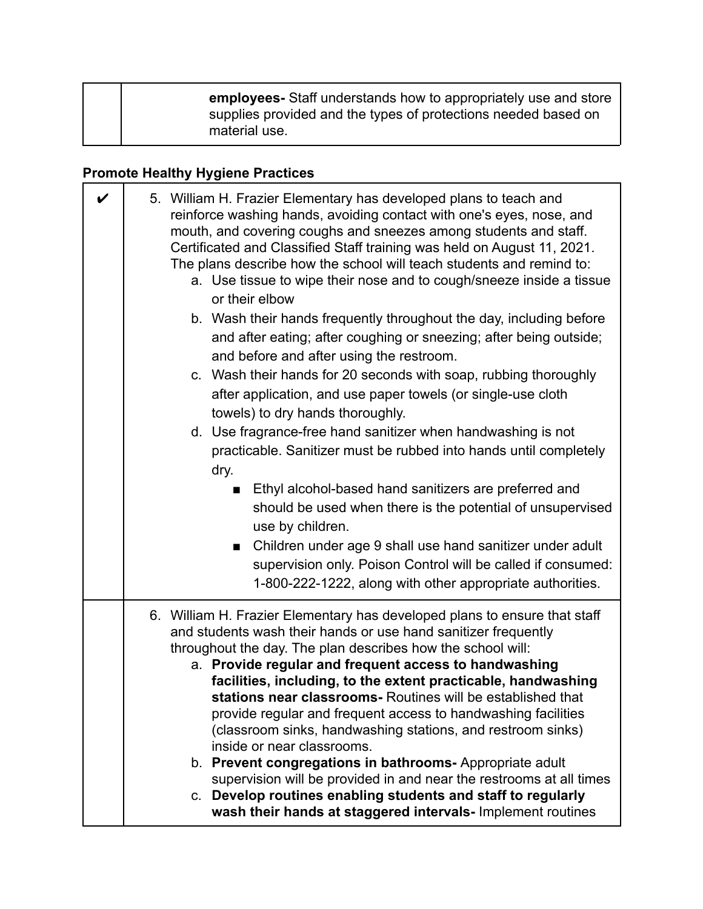| employees- Staff understands how to appropriately use and store<br>supplies provided and the types of protections needed based on |
|-----------------------------------------------------------------------------------------------------------------------------------|
| material use.                                                                                                                     |

### **Promote Healthy Hygiene Practices**

| V | 5. William H. Frazier Elementary has developed plans to teach and<br>reinforce washing hands, avoiding contact with one's eyes, nose, and<br>mouth, and covering coughs and sneezes among students and staff.<br>Certificated and Classified Staff training was held on August 11, 2021.<br>The plans describe how the school will teach students and remind to:<br>a. Use tissue to wipe their nose and to cough/sneeze inside a tissue<br>or their elbow<br>b. Wash their hands frequently throughout the day, including before<br>and after eating; after coughing or sneezing; after being outside;<br>and before and after using the restroom.<br>c. Wash their hands for 20 seconds with soap, rubbing thoroughly<br>after application, and use paper towels (or single-use cloth<br>towels) to dry hands thoroughly.<br>d. Use fragrance-free hand sanitizer when handwashing is not<br>practicable. Sanitizer must be rubbed into hands until completely<br>dry.<br>Ethyl alcohol-based hand sanitizers are preferred and<br>should be used when there is the potential of unsupervised<br>use by children.<br>Children under age 9 shall use hand sanitizer under adult<br>supervision only. Poison Control will be called if consumed:<br>1-800-222-1222, along with other appropriate authorities. |
|---|---------------------------------------------------------------------------------------------------------------------------------------------------------------------------------------------------------------------------------------------------------------------------------------------------------------------------------------------------------------------------------------------------------------------------------------------------------------------------------------------------------------------------------------------------------------------------------------------------------------------------------------------------------------------------------------------------------------------------------------------------------------------------------------------------------------------------------------------------------------------------------------------------------------------------------------------------------------------------------------------------------------------------------------------------------------------------------------------------------------------------------------------------------------------------------------------------------------------------------------------------------------------------------------------------------------|
|   | 6. William H. Frazier Elementary has developed plans to ensure that staff<br>and students wash their hands or use hand sanitizer frequently<br>throughout the day. The plan describes how the school will:<br>a. Provide regular and frequent access to handwashing<br>facilities, including, to the extent practicable, handwashing<br>stations near classrooms- Routines will be established that<br>provide regular and frequent access to handwashing facilities<br>(classroom sinks, handwashing stations, and restroom sinks)<br>inside or near classrooms.<br>b. Prevent congregations in bathrooms- Appropriate adult<br>supervision will be provided in and near the restrooms at all times<br>c. Develop routines enabling students and staff to regularly<br>wash their hands at staggered intervals- Implement routines                                                                                                                                                                                                                                                                                                                                                                                                                                                                           |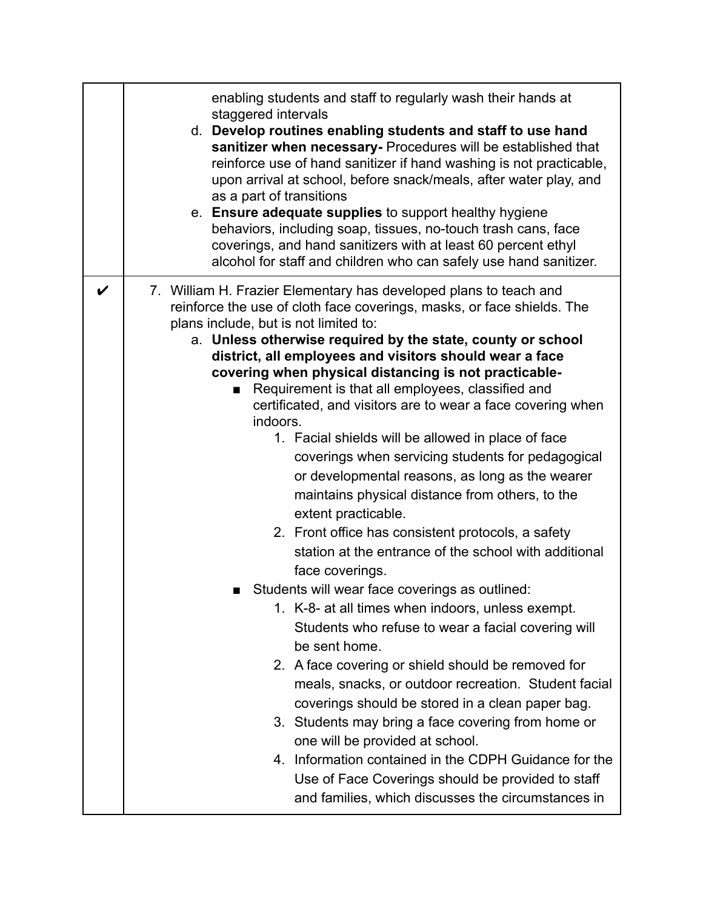|   | enabling students and staff to regularly wash their hands at<br>staggered intervals<br>d. Develop routines enabling students and staff to use hand<br>sanitizer when necessary- Procedures will be established that<br>reinforce use of hand sanitizer if hand washing is not practicable,<br>upon arrival at school, before snack/meals, after water play, and<br>as a part of transitions<br>e. Ensure adequate supplies to support healthy hygiene<br>behaviors, including soap, tissues, no-touch trash cans, face<br>coverings, and hand sanitizers with at least 60 percent ethyl<br>alcohol for staff and children who can safely use hand sanitizer.                                                                                                                                                                                                                                                                                                                                                                                                                                                                                                                                                                                                                                                                                                                                                                                                                                   |
|---|------------------------------------------------------------------------------------------------------------------------------------------------------------------------------------------------------------------------------------------------------------------------------------------------------------------------------------------------------------------------------------------------------------------------------------------------------------------------------------------------------------------------------------------------------------------------------------------------------------------------------------------------------------------------------------------------------------------------------------------------------------------------------------------------------------------------------------------------------------------------------------------------------------------------------------------------------------------------------------------------------------------------------------------------------------------------------------------------------------------------------------------------------------------------------------------------------------------------------------------------------------------------------------------------------------------------------------------------------------------------------------------------------------------------------------------------------------------------------------------------|
| V | 7. William H. Frazier Elementary has developed plans to teach and<br>reinforce the use of cloth face coverings, masks, or face shields. The<br>plans include, but is not limited to:<br>a. Unless otherwise required by the state, county or school<br>district, all employees and visitors should wear a face<br>covering when physical distancing is not practicable-<br>Requirement is that all employees, classified and<br>certificated, and visitors are to wear a face covering when<br>indoors.<br>1. Facial shields will be allowed in place of face<br>coverings when servicing students for pedagogical<br>or developmental reasons, as long as the wearer<br>maintains physical distance from others, to the<br>extent practicable.<br>2. Front office has consistent protocols, a safety<br>station at the entrance of the school with additional<br>face coverings.<br>Students will wear face coverings as outlined:<br>1. K-8- at all times when indoors, unless exempt.<br>Students who refuse to wear a facial covering will<br>be sent home.<br>2. A face covering or shield should be removed for<br>meals, snacks, or outdoor recreation. Student facial<br>coverings should be stored in a clean paper bag.<br>3. Students may bring a face covering from home or<br>one will be provided at school.<br>4. Information contained in the CDPH Guidance for the<br>Use of Face Coverings should be provided to staff<br>and families, which discusses the circumstances in |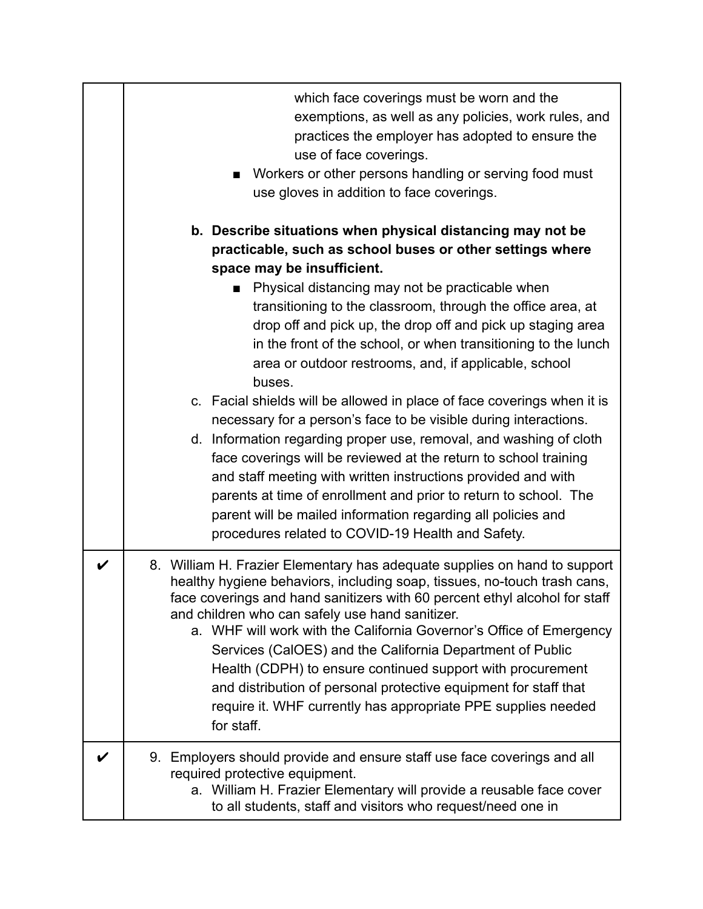|   | which face coverings must be worn and the<br>exemptions, as well as any policies, work rules, and<br>practices the employer has adopted to ensure the<br>use of face coverings.<br>Workers or other persons handling or serving food must<br>use gloves in addition to face coverings.                                                                                                                                                                                                                                                                                                                                                                                                           |
|---|--------------------------------------------------------------------------------------------------------------------------------------------------------------------------------------------------------------------------------------------------------------------------------------------------------------------------------------------------------------------------------------------------------------------------------------------------------------------------------------------------------------------------------------------------------------------------------------------------------------------------------------------------------------------------------------------------|
|   | b. Describe situations when physical distancing may not be<br>practicable, such as school buses or other settings where<br>space may be insufficient.<br>Physical distancing may not be practicable when<br>transitioning to the classroom, through the office area, at<br>drop off and pick up, the drop off and pick up staging area<br>in the front of the school, or when transitioning to the lunch<br>area or outdoor restrooms, and, if applicable, school<br>buses.<br>c. Facial shields will be allowed in place of face coverings when it is<br>necessary for a person's face to be visible during interactions.<br>d. Information regarding proper use, removal, and washing of cloth |
|   | face coverings will be reviewed at the return to school training<br>and staff meeting with written instructions provided and with<br>parents at time of enrollment and prior to return to school. The<br>parent will be mailed information regarding all policies and<br>procedures related to COVID-19 Health and Safety.                                                                                                                                                                                                                                                                                                                                                                       |
| V | 8. William H. Frazier Elementary has adequate supplies on hand to support<br>healthy hygiene behaviors, including soap, tissues, no-touch trash cans,<br>face coverings and hand sanitizers with 60 percent ethyl alcohol for staff<br>and children who can safely use hand sanitizer.<br>a. WHF will work with the California Governor's Office of Emergency<br>Services (CalOES) and the California Department of Public<br>Health (CDPH) to ensure continued support with procurement<br>and distribution of personal protective equipment for staff that<br>require it. WHF currently has appropriate PPE supplies needed<br>for staff.                                                      |
|   | 9. Employers should provide and ensure staff use face coverings and all<br>required protective equipment.<br>a. William H. Frazier Elementary will provide a reusable face cover<br>to all students, staff and visitors who request/need one in                                                                                                                                                                                                                                                                                                                                                                                                                                                  |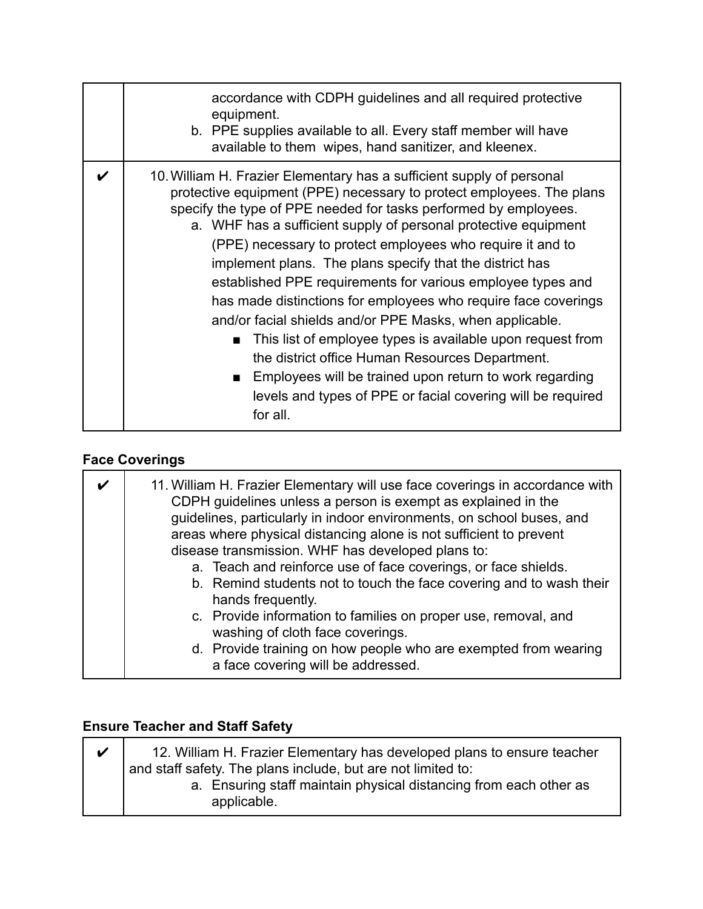| accordance with CDPH guidelines and all required protective<br>equipment.<br>b. PPE supplies available to all. Every staff member will have<br>available to them wipes, hand sanitizer, and kleenex.                                                                                                                                                                                                                                                                                                                                                                                                                                                                                                                                                                                                                                                                                        |
|---------------------------------------------------------------------------------------------------------------------------------------------------------------------------------------------------------------------------------------------------------------------------------------------------------------------------------------------------------------------------------------------------------------------------------------------------------------------------------------------------------------------------------------------------------------------------------------------------------------------------------------------------------------------------------------------------------------------------------------------------------------------------------------------------------------------------------------------------------------------------------------------|
| 10. William H. Frazier Elementary has a sufficient supply of personal<br>protective equipment (PPE) necessary to protect employees. The plans<br>specify the type of PPE needed for tasks performed by employees.<br>a. WHF has a sufficient supply of personal protective equipment<br>(PPE) necessary to protect employees who require it and to<br>implement plans. The plans specify that the district has<br>established PPE requirements for various employee types and<br>has made distinctions for employees who require face coverings<br>and/or facial shields and/or PPE Masks, when applicable.<br>This list of employee types is available upon request from<br>$\blacksquare$<br>the district office Human Resources Department.<br>Employees will be trained upon return to work regarding<br>. .<br>levels and types of PPE or facial covering will be required<br>for all. |

### **Face Coverings**

| 11. William H. Frazier Elementary will use face coverings in accordance with<br>CDPH guidelines unless a person is exempt as explained in the<br>guidelines, particularly in indoor environments, on school buses, and<br>areas where physical distancing alone is not sufficient to prevent<br>disease transmission. WHF has developed plans to:<br>a. Teach and reinforce use of face coverings, or face shields.<br>b. Remind students not to touch the face covering and to wash their<br>hands frequently.<br>c. Provide information to families on proper use, removal, and |
|-----------------------------------------------------------------------------------------------------------------------------------------------------------------------------------------------------------------------------------------------------------------------------------------------------------------------------------------------------------------------------------------------------------------------------------------------------------------------------------------------------------------------------------------------------------------------------------|
| washing of cloth face coverings.<br>d. Provide training on how people who are exempted from wearing<br>a face covering will be addressed.                                                                                                                                                                                                                                                                                                                                                                                                                                         |

### **Ensure Teacher and Staff Safety**

| 12. William H. Frazier Elementary has developed plans to ensure teacher          |
|----------------------------------------------------------------------------------|
| and staff safety. The plans include, but are not limited to:                     |
| a. Ensuring staff maintain physical distancing from each other as<br>applicable. |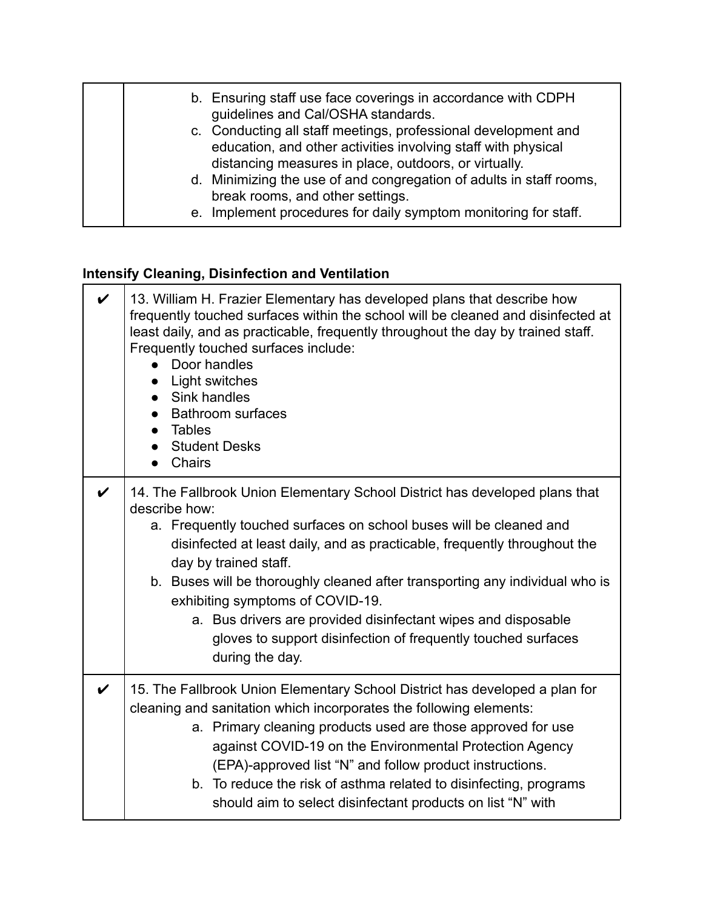| b. Ensuring staff use face coverings in accordance with CDPH<br>guidelines and Cal/OSHA standards.<br>c. Conducting all staff meetings, professional development and       |
|----------------------------------------------------------------------------------------------------------------------------------------------------------------------------|
| education, and other activities involving staff with physical<br>distancing measures in place, outdoors, or virtually.                                                     |
| d. Minimizing the use of and congregation of adults in staff rooms,<br>break rooms, and other settings.<br>e. Implement procedures for daily symptom monitoring for staff. |

# **Intensify Cleaning, Disinfection and Ventilation**

| V                  | 13. William H. Frazier Elementary has developed plans that describe how<br>frequently touched surfaces within the school will be cleaned and disinfected at<br>least daily, and as practicable, frequently throughout the day by trained staff.<br>Frequently touched surfaces include:<br>Door handles<br>Light switches<br>Sink handles<br><b>Bathroom surfaces</b><br>Tables<br><b>Student Desks</b><br><b>Chairs</b>                                                                                                                          |
|--------------------|---------------------------------------------------------------------------------------------------------------------------------------------------------------------------------------------------------------------------------------------------------------------------------------------------------------------------------------------------------------------------------------------------------------------------------------------------------------------------------------------------------------------------------------------------|
| V                  | 14. The Fallbrook Union Elementary School District has developed plans that<br>describe how:<br>a. Frequently touched surfaces on school buses will be cleaned and<br>disinfected at least daily, and as practicable, frequently throughout the<br>day by trained staff.<br>b. Buses will be thoroughly cleaned after transporting any individual who is<br>exhibiting symptoms of COVID-19.<br>a. Bus drivers are provided disinfectant wipes and disposable<br>gloves to support disinfection of frequently touched surfaces<br>during the day. |
| $\boldsymbol{\nu}$ | 15. The Fallbrook Union Elementary School District has developed a plan for<br>cleaning and sanitation which incorporates the following elements:<br>a. Primary cleaning products used are those approved for use<br>against COVID-19 on the Environmental Protection Agency<br>(EPA)-approved list "N" and follow product instructions.<br>b. To reduce the risk of asthma related to disinfecting, programs<br>should aim to select disinfectant products on list "N" with                                                                      |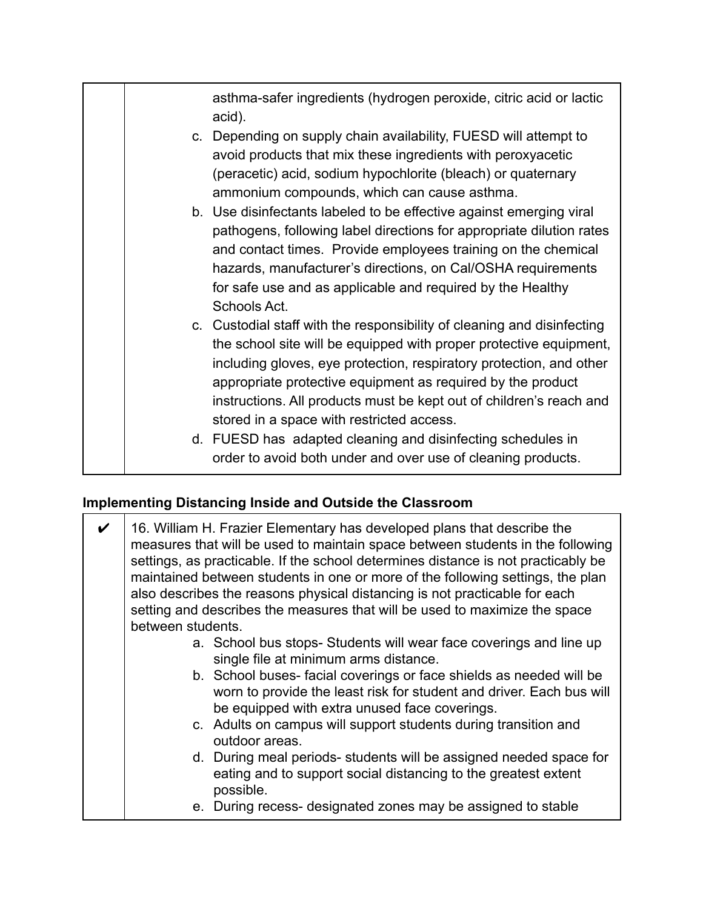asthma-safer ingredients (hydrogen peroxide, citric acid or lactic acid). c. Depending on supply chain availability, FUESD will attempt to avoid products that mix these ingredients with peroxyacetic (peracetic) acid, sodium hypochlorite (bleach) or quaternary ammonium compounds, which can cause asthma. b. Use disinfectants labeled to be effective against emerging viral pathogens, following label directions for appropriate dilution rates and contact times. Provide employees training on the chemical hazards, manufacturer's directions, on Cal/OSHA requirements for safe use and as applicable and required by the Healthy Schools Act. c. Custodial staff with the responsibility of cleaning and disinfecting the school site will be equipped with proper protective equipment, including gloves, eye protection, respiratory protection, and other appropriate protective equipment as required by the product instructions. All products must be kept out of children's reach and stored in a space with restricted access. d. FUESD has adapted cleaning and disinfecting schedules in order to avoid both under and over use of cleaning products.

#### **Implementing Distancing Inside and Outside the Classroom**

| 16. William H. Frazier Elementary has developed plans that describe the<br>measures that will be used to maintain space between students in the following<br>settings, as practicable. If the school determines distance is not practicably be<br>maintained between students in one or more of the following settings, the plan<br>also describes the reasons physical distancing is not practicable for each<br>setting and describes the measures that will be used to maximize the space<br>between students. |
|-------------------------------------------------------------------------------------------------------------------------------------------------------------------------------------------------------------------------------------------------------------------------------------------------------------------------------------------------------------------------------------------------------------------------------------------------------------------------------------------------------------------|
| a. School bus stops- Students will wear face coverings and line up<br>single file at minimum arms distance.                                                                                                                                                                                                                                                                                                                                                                                                       |
| b. School buses-facial coverings or face shields as needed will be<br>worn to provide the least risk for student and driver. Each bus will<br>be equipped with extra unused face coverings.                                                                                                                                                                                                                                                                                                                       |
| c. Adults on campus will support students during transition and<br>outdoor areas.                                                                                                                                                                                                                                                                                                                                                                                                                                 |
| d. During meal periods- students will be assigned needed space for<br>eating and to support social distancing to the greatest extent<br>possible.                                                                                                                                                                                                                                                                                                                                                                 |
| e. During recess- designated zones may be assigned to stable                                                                                                                                                                                                                                                                                                                                                                                                                                                      |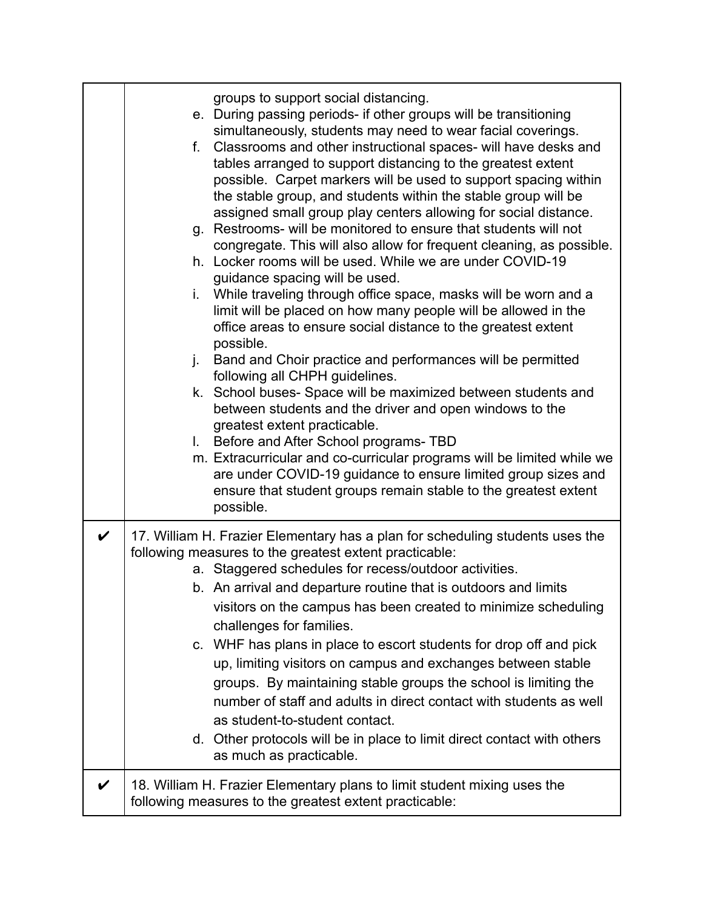|                    | groups to support social distancing.<br>e. During passing periods- if other groups will be transitioning<br>simultaneously, students may need to wear facial coverings.<br>Classrooms and other instructional spaces- will have desks and<br>f.<br>tables arranged to support distancing to the greatest extent<br>possible. Carpet markers will be used to support spacing within<br>the stable group, and students within the stable group will be<br>assigned small group play centers allowing for social distance.<br>g. Restrooms- will be monitored to ensure that students will not<br>congregate. This will also allow for frequent cleaning, as possible.<br>h. Locker rooms will be used. While we are under COVID-19<br>guidance spacing will be used.<br>i. While traveling through office space, masks will be worn and a<br>limit will be placed on how many people will be allowed in the<br>office areas to ensure social distance to the greatest extent<br>possible.<br>j.<br>Band and Choir practice and performances will be permitted<br>following all CHPH guidelines.<br>k. School buses- Space will be maximized between students and<br>between students and the driver and open windows to the<br>greatest extent practicable.<br>I. Before and After School programs- TBD<br>m. Extracurricular and co-curricular programs will be limited while we<br>are under COVID-19 guidance to ensure limited group sizes and<br>ensure that student groups remain stable to the greatest extent<br>possible. |
|--------------------|----------------------------------------------------------------------------------------------------------------------------------------------------------------------------------------------------------------------------------------------------------------------------------------------------------------------------------------------------------------------------------------------------------------------------------------------------------------------------------------------------------------------------------------------------------------------------------------------------------------------------------------------------------------------------------------------------------------------------------------------------------------------------------------------------------------------------------------------------------------------------------------------------------------------------------------------------------------------------------------------------------------------------------------------------------------------------------------------------------------------------------------------------------------------------------------------------------------------------------------------------------------------------------------------------------------------------------------------------------------------------------------------------------------------------------------------------------------------------------------------------------------------------------|
| $\boldsymbol{\nu}$ | 17. William H. Frazier Elementary has a plan for scheduling students uses the<br>following measures to the greatest extent practicable:<br>a. Staggered schedules for recess/outdoor activities.<br>b. An arrival and departure routine that is outdoors and limits<br>visitors on the campus has been created to minimize scheduling<br>challenges for families.<br>c. WHF has plans in place to escort students for drop off and pick<br>up, limiting visitors on campus and exchanges between stable<br>groups. By maintaining stable groups the school is limiting the<br>number of staff and adults in direct contact with students as well<br>as student-to-student contact.<br>d. Other protocols will be in place to limit direct contact with others<br>as much as practicable.                                                                                                                                                                                                                                                                                                                                                                                                                                                                                                                                                                                                                                                                                                                                         |
| V                  | 18. William H. Frazier Elementary plans to limit student mixing uses the<br>following measures to the greatest extent practicable:                                                                                                                                                                                                                                                                                                                                                                                                                                                                                                                                                                                                                                                                                                                                                                                                                                                                                                                                                                                                                                                                                                                                                                                                                                                                                                                                                                                               |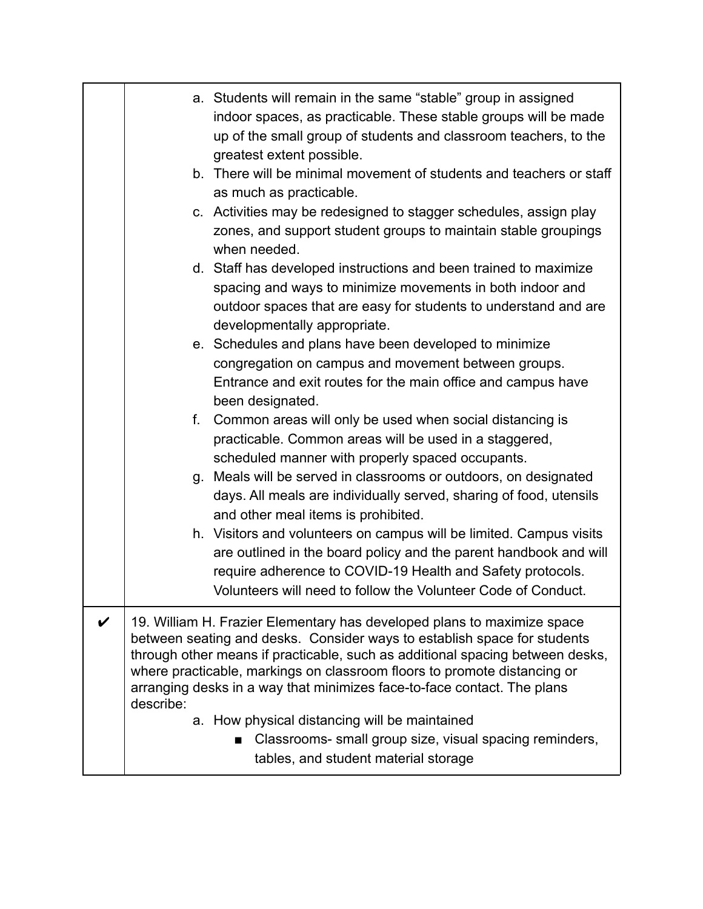| a. Students will remain in the same "stable" group in assigned<br>indoor spaces, as practicable. These stable groups will be made<br>up of the small group of students and classroom teachers, to the<br>greatest extent possible.<br>b. There will be minimal movement of students and teachers or staff<br>as much as practicable.<br>c. Activities may be redesigned to stagger schedules, assign play<br>zones, and support student groups to maintain stable groupings<br>when needed.<br>d. Staff has developed instructions and been trained to maximize<br>spacing and ways to minimize movements in both indoor and<br>outdoor spaces that are easy for students to understand and are<br>developmentally appropriate.<br>e. Schedules and plans have been developed to minimize<br>congregation on campus and movement between groups.<br>Entrance and exit routes for the main office and campus have<br>been designated.<br>Common areas will only be used when social distancing is<br>f.<br>practicable. Common areas will be used in a staggered,<br>scheduled manner with properly spaced occupants.<br>g. Meals will be served in classrooms or outdoors, on designated<br>days. All meals are individually served, sharing of food, utensils<br>and other meal items is prohibited.<br>h. Visitors and volunteers on campus will be limited. Campus visits<br>are outlined in the board policy and the parent handbook and will<br>require adherence to COVID-19 Health and Safety protocols.<br>Volunteers will need to follow the Volunteer Code of Conduct. |
|----------------------------------------------------------------------------------------------------------------------------------------------------------------------------------------------------------------------------------------------------------------------------------------------------------------------------------------------------------------------------------------------------------------------------------------------------------------------------------------------------------------------------------------------------------------------------------------------------------------------------------------------------------------------------------------------------------------------------------------------------------------------------------------------------------------------------------------------------------------------------------------------------------------------------------------------------------------------------------------------------------------------------------------------------------------------------------------------------------------------------------------------------------------------------------------------------------------------------------------------------------------------------------------------------------------------------------------------------------------------------------------------------------------------------------------------------------------------------------------------------------------------------------------------------------------------------------|
| 19. William H. Frazier Elementary has developed plans to maximize space                                                                                                                                                                                                                                                                                                                                                                                                                                                                                                                                                                                                                                                                                                                                                                                                                                                                                                                                                                                                                                                                                                                                                                                                                                                                                                                                                                                                                                                                                                          |
| between seating and desks. Consider ways to establish space for students<br>through other means if practicable, such as additional spacing between desks,<br>where practicable, markings on classroom floors to promote distancing or<br>arranging desks in a way that minimizes face-to-face contact. The plans<br>describe:<br>a. How physical distancing will be maintained<br>Classrooms- small group size, visual spacing reminders,<br>■<br>tables, and student material storage                                                                                                                                                                                                                                                                                                                                                                                                                                                                                                                                                                                                                                                                                                                                                                                                                                                                                                                                                                                                                                                                                           |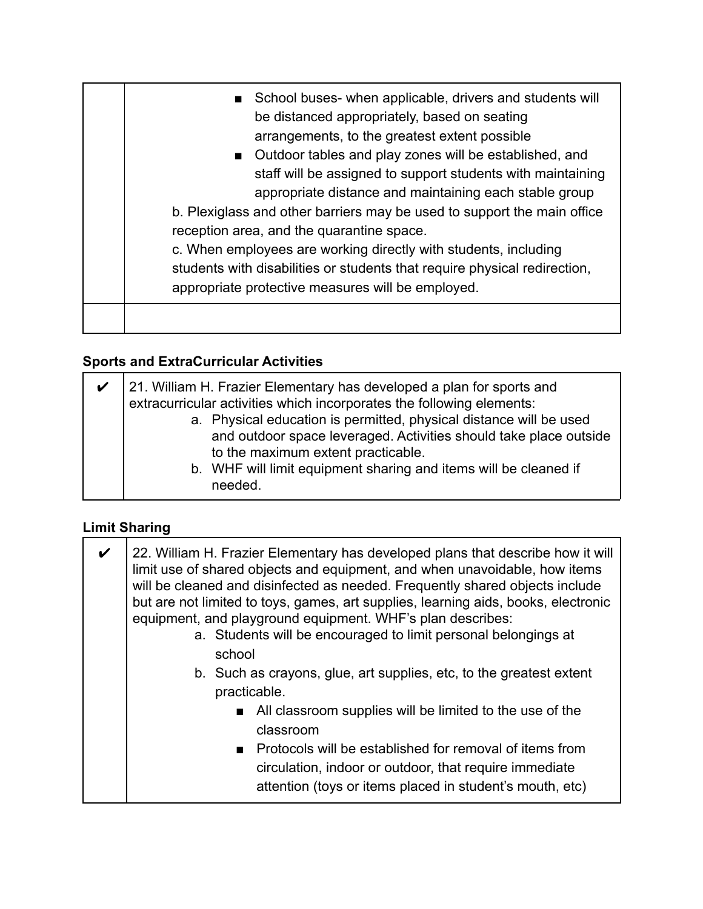| School buses- when applicable, drivers and students will<br>be distanced appropriately, based on seating<br>arrangements, to the greatest extent possible<br>■ Outdoor tables and play zones will be established, and<br>staff will be assigned to support students with maintaining<br>appropriate distance and maintaining each stable group<br>b. Plexiglass and other barriers may be used to support the main office<br>reception area, and the quarantine space.<br>c. When employees are working directly with students, including<br>students with disabilities or students that require physical redirection,<br>appropriate protective measures will be employed. |
|-----------------------------------------------------------------------------------------------------------------------------------------------------------------------------------------------------------------------------------------------------------------------------------------------------------------------------------------------------------------------------------------------------------------------------------------------------------------------------------------------------------------------------------------------------------------------------------------------------------------------------------------------------------------------------|
|                                                                                                                                                                                                                                                                                                                                                                                                                                                                                                                                                                                                                                                                             |

# **Sports and ExtraCurricular Activities**

| ✔ | 21. William H. Frazier Elementary has developed a plan for sports and                                                                                                                                                                             |
|---|---------------------------------------------------------------------------------------------------------------------------------------------------------------------------------------------------------------------------------------------------|
|   | extracurricular activities which incorporates the following elements:                                                                                                                                                                             |
|   | a. Physical education is permitted, physical distance will be used<br>and outdoor space leveraged. Activities should take place outside<br>to the maximum extent practicable.<br>b. WHF will limit equipment sharing and items will be cleaned if |
|   | needed.                                                                                                                                                                                                                                           |

# **Limit Sharing**

| V | 22. William H. Frazier Elementary has developed plans that describe how it will<br>limit use of shared objects and equipment, and when unavoidable, how items<br>will be cleaned and disinfected as needed. Frequently shared objects include<br>but are not limited to toys, games, art supplies, learning aids, books, electronic<br>equipment, and playground equipment. WHF's plan describes:<br>a. Students will be encouraged to limit personal belongings at<br>school<br>b. Such as crayons, glue, art supplies, etc, to the greatest extent |
|---|------------------------------------------------------------------------------------------------------------------------------------------------------------------------------------------------------------------------------------------------------------------------------------------------------------------------------------------------------------------------------------------------------------------------------------------------------------------------------------------------------------------------------------------------------|
|   | practicable.                                                                                                                                                                                                                                                                                                                                                                                                                                                                                                                                         |
|   | All classroom supplies will be limited to the use of the<br>classroom                                                                                                                                                                                                                                                                                                                                                                                                                                                                                |
|   | ■ Protocols will be established for removal of items from                                                                                                                                                                                                                                                                                                                                                                                                                                                                                            |
|   | circulation, indoor or outdoor, that require immediate<br>attention (toys or items placed in student's mouth, etc)                                                                                                                                                                                                                                                                                                                                                                                                                                   |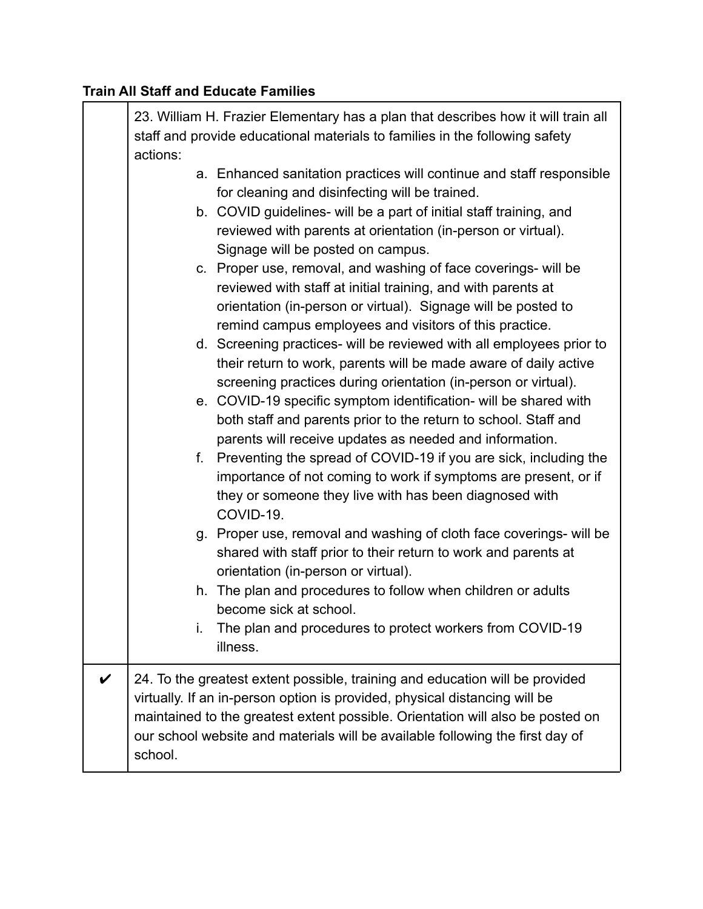### **Train All Staff and Educate Families**

|              | 23. William H. Frazier Elementary has a plan that describes how it will train all<br>staff and provide educational materials to families in the following safety<br>actions:                                                                                                                                                                                                                                                                                                                         |
|--------------|------------------------------------------------------------------------------------------------------------------------------------------------------------------------------------------------------------------------------------------------------------------------------------------------------------------------------------------------------------------------------------------------------------------------------------------------------------------------------------------------------|
|              | a. Enhanced sanitation practices will continue and staff responsible<br>for cleaning and disinfecting will be trained.<br>b. COVID guidelines- will be a part of initial staff training, and<br>reviewed with parents at orientation (in-person or virtual).<br>Signage will be posted on campus.<br>c. Proper use, removal, and washing of face coverings- will be<br>reviewed with staff at initial training, and with parents at<br>orientation (in-person or virtual). Signage will be posted to |
|              | remind campus employees and visitors of this practice.<br>d. Screening practices- will be reviewed with all employees prior to<br>their return to work, parents will be made aware of daily active<br>screening practices during orientation (in-person or virtual).<br>e. COVID-19 specific symptom identification- will be shared with<br>both staff and parents prior to the return to school. Staff and                                                                                          |
|              | parents will receive updates as needed and information.<br>f.<br>Preventing the spread of COVID-19 if you are sick, including the<br>importance of not coming to work if symptoms are present, or if<br>they or someone they live with has been diagnosed with<br>COVID-19.                                                                                                                                                                                                                          |
|              | Proper use, removal and washing of cloth face coverings- will be<br>g.<br>shared with staff prior to their return to work and parents at<br>orientation (in-person or virtual).                                                                                                                                                                                                                                                                                                                      |
|              | The plan and procedures to follow when children or adults<br>h.<br>become sick at school.                                                                                                                                                                                                                                                                                                                                                                                                            |
|              | The plan and procedures to protect workers from COVID-19<br>i.<br>illness.                                                                                                                                                                                                                                                                                                                                                                                                                           |
| $\checkmark$ | 24. To the greatest extent possible, training and education will be provided<br>virtually. If an in-person option is provided, physical distancing will be<br>maintained to the greatest extent possible. Orientation will also be posted on<br>our school website and materials will be available following the first day of<br>school.                                                                                                                                                             |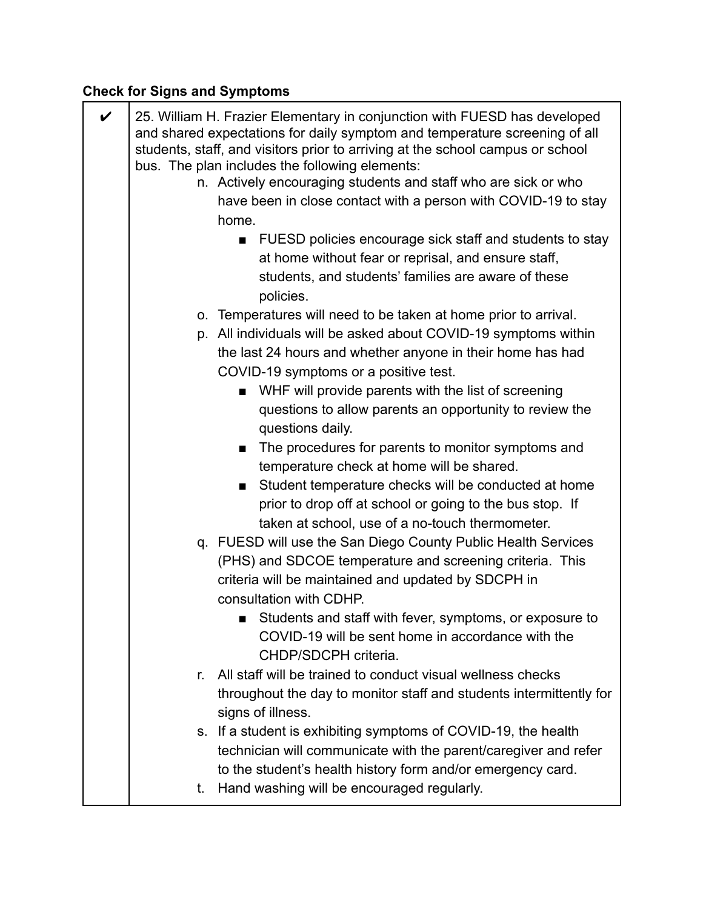# **Check for Signs and Symptoms**

| $\boldsymbol{\nu}$ |    | 25. William H. Frazier Elementary in conjunction with FUESD has developed<br>and shared expectations for daily symptom and temperature screening of all<br>students, staff, and visitors prior to arriving at the school campus or school<br>bus. The plan includes the following elements: |
|--------------------|----|---------------------------------------------------------------------------------------------------------------------------------------------------------------------------------------------------------------------------------------------------------------------------------------------|
|                    |    | n. Actively encouraging students and staff who are sick or who                                                                                                                                                                                                                              |
|                    |    | have been in close contact with a person with COVID-19 to stay                                                                                                                                                                                                                              |
|                    |    | home.                                                                                                                                                                                                                                                                                       |
|                    |    | FUESD policies encourage sick staff and students to stay                                                                                                                                                                                                                                    |
|                    |    | at home without fear or reprisal, and ensure staff,                                                                                                                                                                                                                                         |
|                    |    | students, and students' families are aware of these<br>policies.                                                                                                                                                                                                                            |
|                    |    | o. Temperatures will need to be taken at home prior to arrival.                                                                                                                                                                                                                             |
|                    |    | p. All individuals will be asked about COVID-19 symptoms within                                                                                                                                                                                                                             |
|                    |    | the last 24 hours and whether anyone in their home has had                                                                                                                                                                                                                                  |
|                    |    | COVID-19 symptoms or a positive test.                                                                                                                                                                                                                                                       |
|                    |    | WHF will provide parents with the list of screening                                                                                                                                                                                                                                         |
|                    |    | questions to allow parents an opportunity to review the                                                                                                                                                                                                                                     |
|                    |    | questions daily.                                                                                                                                                                                                                                                                            |
|                    |    | The procedures for parents to monitor symptoms and                                                                                                                                                                                                                                          |
|                    |    | temperature check at home will be shared.                                                                                                                                                                                                                                                   |
|                    |    | Student temperature checks will be conducted at home                                                                                                                                                                                                                                        |
|                    |    | prior to drop off at school or going to the bus stop. If                                                                                                                                                                                                                                    |
|                    |    | taken at school, use of a no-touch thermometer.                                                                                                                                                                                                                                             |
|                    |    | q. FUESD will use the San Diego County Public Health Services                                                                                                                                                                                                                               |
|                    |    | (PHS) and SDCOE temperature and screening criteria. This                                                                                                                                                                                                                                    |
|                    |    | criteria will be maintained and updated by SDCPH in                                                                                                                                                                                                                                         |
|                    |    | consultation with CDHP.                                                                                                                                                                                                                                                                     |
|                    |    | Students and staff with fever, symptoms, or exposure to                                                                                                                                                                                                                                     |
|                    |    | COVID-19 will be sent home in accordance with the                                                                                                                                                                                                                                           |
|                    |    | CHDP/SDCPH criteria.                                                                                                                                                                                                                                                                        |
|                    | r. | All staff will be trained to conduct visual wellness checks                                                                                                                                                                                                                                 |
|                    |    | throughout the day to monitor staff and students intermittently for<br>signs of illness.                                                                                                                                                                                                    |
|                    |    | s. If a student is exhibiting symptoms of COVID-19, the health                                                                                                                                                                                                                              |
|                    |    | technician will communicate with the parent/caregiver and refer                                                                                                                                                                                                                             |
|                    |    | to the student's health history form and/or emergency card.                                                                                                                                                                                                                                 |
|                    | t. | Hand washing will be encouraged regularly.                                                                                                                                                                                                                                                  |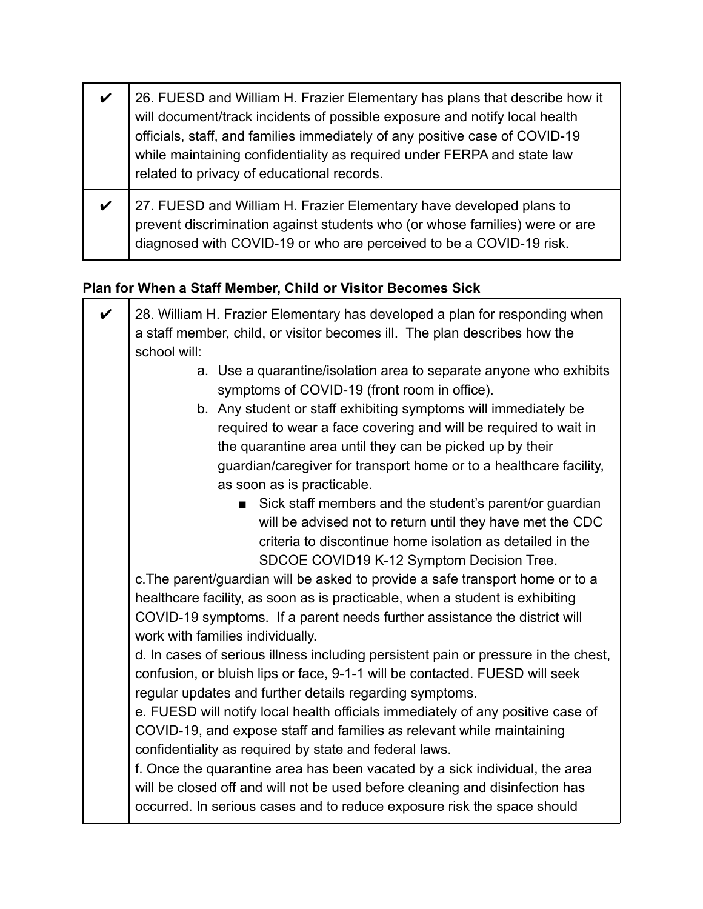| $\boldsymbol{\mathcal{U}}$ | 26. FUESD and William H. Frazier Elementary has plans that describe how it<br>will document/track incidents of possible exposure and notify local health<br>officials, staff, and families immediately of any positive case of COVID-19<br>while maintaining confidentiality as required under FERPA and state law<br>related to privacy of educational records. |
|----------------------------|------------------------------------------------------------------------------------------------------------------------------------------------------------------------------------------------------------------------------------------------------------------------------------------------------------------------------------------------------------------|
| V                          | 27. FUESD and William H. Frazier Elementary have developed plans to<br>prevent discrimination against students who (or whose families) were or are<br>diagnosed with COVID-19 or who are perceived to be a COVID-19 risk.                                                                                                                                        |

### **Plan for When a Staff Member, Child or Visitor Becomes Sick**

| $\checkmark$ | 28. William H. Frazier Elementary has developed a plan for responding when                                         |
|--------------|--------------------------------------------------------------------------------------------------------------------|
|              | a staff member, child, or visitor becomes ill. The plan describes how the                                          |
|              | school will:                                                                                                       |
|              | a. Use a quarantine/isolation area to separate anyone who exhibits<br>symptoms of COVID-19 (front room in office). |
|              | b. Any student or staff exhibiting symptoms will immediately be                                                    |
|              | required to wear a face covering and will be required to wait in                                                   |
|              | the quarantine area until they can be picked up by their                                                           |
|              | guardian/caregiver for transport home or to a healthcare facility,                                                 |
|              | as soon as is practicable.                                                                                         |
|              | Sick staff members and the student's parent/or guardian                                                            |
|              | will be advised not to return until they have met the CDC                                                          |
|              | criteria to discontinue home isolation as detailed in the                                                          |
|              | SDCOE COVID19 K-12 Symptom Decision Tree.                                                                          |
|              | c. The parent/guardian will be asked to provide a safe transport home or to a                                      |
|              | healthcare facility, as soon as is practicable, when a student is exhibiting                                       |
|              | COVID-19 symptoms. If a parent needs further assistance the district will                                          |
|              | work with families individually.                                                                                   |
|              | d. In cases of serious illness including persistent pain or pressure in the chest,                                 |
|              | confusion, or bluish lips or face, 9-1-1 will be contacted. FUESD will seek                                        |
|              | regular updates and further details regarding symptoms.                                                            |
|              | e. FUESD will notify local health officials immediately of any positive case of                                    |
|              | COVID-19, and expose staff and families as relevant while maintaining                                              |
|              | confidentiality as required by state and federal laws.                                                             |
|              | f. Once the quarantine area has been vacated by a sick individual, the area                                        |
|              | will be closed off and will not be used before cleaning and disinfection has                                       |
|              | occurred. In serious cases and to reduce exposure risk the space should                                            |
|              |                                                                                                                    |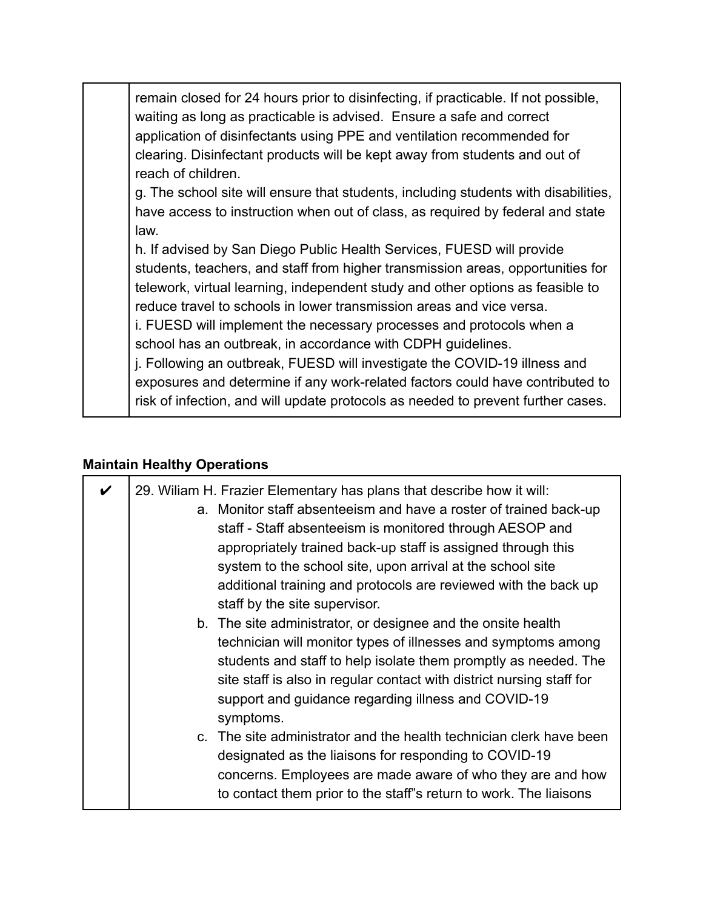remain closed for 24 hours prior to disinfecting, if practicable. If not possible, waiting as long as practicable is advised. Ensure a safe and correct application of disinfectants using PPE and ventilation recommended for clearing. Disinfectant products will be kept away from students and out of reach of children.

g. The school site will ensure that students, including students with disabilities, have access to instruction when out of class, as required by federal and state law.

h. If advised by San Diego Public Health Services, FUESD will provide students, teachers, and staff from higher transmission areas, opportunities for telework, virtual learning, independent study and other options as feasible to reduce travel to schools in lower transmission areas and vice versa.

i. FUESD will implement the necessary processes and protocols when a school has an outbreak, in accordance with CDPH guidelines.

j. Following an outbreak, FUESD will investigate the COVID-19 illness and exposures and determine if any work-related factors could have contributed to risk of infection, and will update protocols as needed to prevent further cases.

#### **Maintain Healthy Operations**

| 29. Wiliam H. Frazier Elementary has plans that describe how it will:<br>a. Monitor staff absenteeism and have a roster of trained back-up<br>staff - Staff absenteeism is monitored through AESOP and<br>appropriately trained back-up staff is assigned through this<br>system to the school site, upon arrival at the school site<br>additional training and protocols are reviewed with the back up<br>staff by the site supervisor. |
|------------------------------------------------------------------------------------------------------------------------------------------------------------------------------------------------------------------------------------------------------------------------------------------------------------------------------------------------------------------------------------------------------------------------------------------|
| b. The site administrator, or designee and the onsite health<br>technician will monitor types of illnesses and symptoms among<br>students and staff to help isolate them promptly as needed. The<br>site staff is also in regular contact with district nursing staff for<br>support and guidance regarding illness and COVID-19<br>symptoms.                                                                                            |
| c. The site administrator and the health technician clerk have been<br>designated as the liaisons for responding to COVID-19<br>concerns. Employees are made aware of who they are and how<br>to contact them prior to the staff"s return to work. The liaisons                                                                                                                                                                          |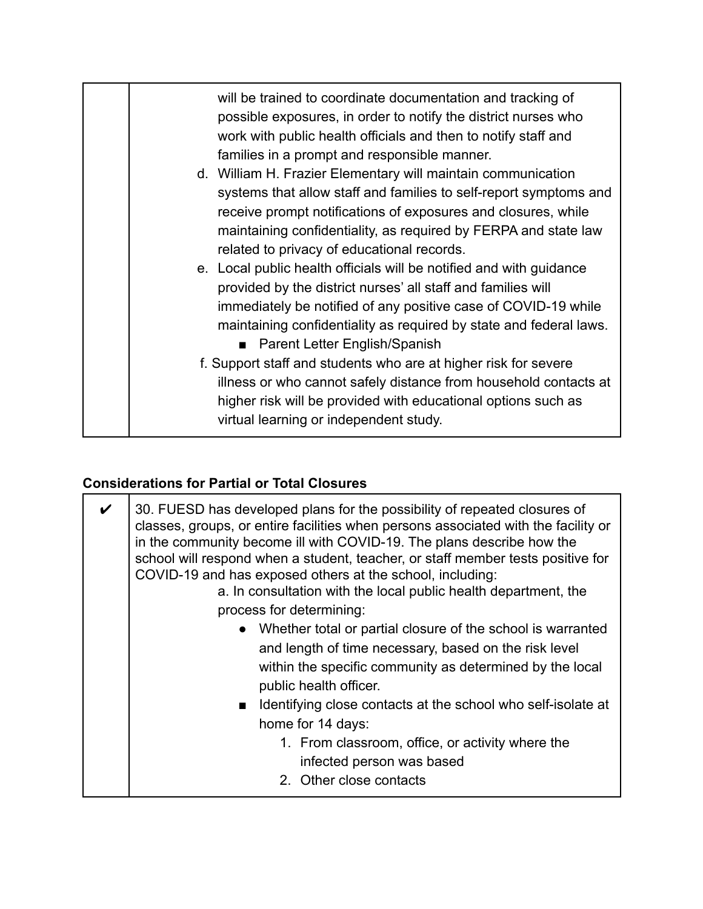| will be trained to coordinate documentation and tracking of<br>possible exposures, in order to notify the district nurses who<br>work with public health officials and then to notify staff and<br>families in a prompt and responsible manner.<br>d. William H. Frazier Elementary will maintain communication<br>systems that allow staff and families to self-report symptoms and                                                                          |
|---------------------------------------------------------------------------------------------------------------------------------------------------------------------------------------------------------------------------------------------------------------------------------------------------------------------------------------------------------------------------------------------------------------------------------------------------------------|
| receive prompt notifications of exposures and closures, while<br>maintaining confidentiality, as required by FERPA and state law<br>related to privacy of educational records.<br>e. Local public health officials will be notified and with guidance<br>provided by the district nurses' all staff and families will<br>immediately be notified of any positive case of COVID-19 while<br>maintaining confidentiality as required by state and federal laws. |
| ■ Parent Letter English/Spanish<br>f. Support staff and students who are at higher risk for severe<br>illness or who cannot safely distance from household contacts at<br>higher risk will be provided with educational options such as<br>virtual learning or independent study.                                                                                                                                                                             |

### **Considerations for Partial or Total Closures**

| $\boldsymbol{\nu}$ | 30. FUESD has developed plans for the possibility of repeated closures of<br>classes, groups, or entire facilities when persons associated with the facility or<br>in the community become ill with COVID-19. The plans describe how the<br>school will respond when a student, teacher, or staff member tests positive for<br>COVID-19 and has exposed others at the school, including:<br>a. In consultation with the local public health department, the<br>process for determining:<br>Whether total or partial closure of the school is warranted<br>and length of time necessary, based on the risk level<br>within the specific community as determined by the local<br>public health officer.<br>Identifying close contacts at the school who self-isolate at<br>$\blacksquare$<br>home for 14 days: |
|--------------------|--------------------------------------------------------------------------------------------------------------------------------------------------------------------------------------------------------------------------------------------------------------------------------------------------------------------------------------------------------------------------------------------------------------------------------------------------------------------------------------------------------------------------------------------------------------------------------------------------------------------------------------------------------------------------------------------------------------------------------------------------------------------------------------------------------------|
|                    | 1. From classroom, office, or activity where the<br>infected person was based<br>2. Other close contacts                                                                                                                                                                                                                                                                                                                                                                                                                                                                                                                                                                                                                                                                                                     |
|                    |                                                                                                                                                                                                                                                                                                                                                                                                                                                                                                                                                                                                                                                                                                                                                                                                              |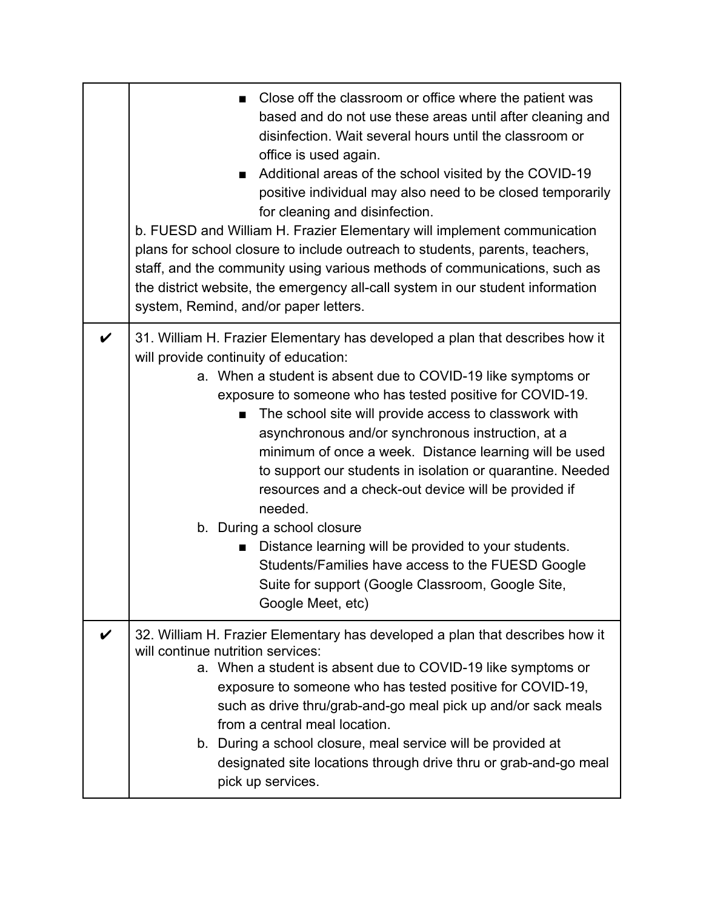|                    | Close off the classroom or office where the patient was<br>based and do not use these areas until after cleaning and<br>disinfection. Wait several hours until the classroom or<br>office is used again.<br>Additional areas of the school visited by the COVID-19<br>п<br>positive individual may also need to be closed temporarily<br>for cleaning and disinfection.<br>b. FUESD and William H. Frazier Elementary will implement communication<br>plans for school closure to include outreach to students, parents, teachers,<br>staff, and the community using various methods of communications, such as<br>the district website, the emergency all-call system in our student information<br>system, Remind, and/or paper letters. |
|--------------------|--------------------------------------------------------------------------------------------------------------------------------------------------------------------------------------------------------------------------------------------------------------------------------------------------------------------------------------------------------------------------------------------------------------------------------------------------------------------------------------------------------------------------------------------------------------------------------------------------------------------------------------------------------------------------------------------------------------------------------------------|
| $\boldsymbol{\nu}$ | 31. William H. Frazier Elementary has developed a plan that describes how it<br>will provide continuity of education:                                                                                                                                                                                                                                                                                                                                                                                                                                                                                                                                                                                                                      |
|                    | a. When a student is absent due to COVID-19 like symptoms or<br>exposure to someone who has tested positive for COVID-19.                                                                                                                                                                                                                                                                                                                                                                                                                                                                                                                                                                                                                  |
|                    | The school site will provide access to classwork with<br>$\blacksquare$                                                                                                                                                                                                                                                                                                                                                                                                                                                                                                                                                                                                                                                                    |
|                    | asynchronous and/or synchronous instruction, at a<br>minimum of once a week. Distance learning will be used                                                                                                                                                                                                                                                                                                                                                                                                                                                                                                                                                                                                                                |
|                    | to support our students in isolation or quarantine. Needed                                                                                                                                                                                                                                                                                                                                                                                                                                                                                                                                                                                                                                                                                 |
|                    | resources and a check-out device will be provided if<br>needed.                                                                                                                                                                                                                                                                                                                                                                                                                                                                                                                                                                                                                                                                            |
|                    | b. During a school closure                                                                                                                                                                                                                                                                                                                                                                                                                                                                                                                                                                                                                                                                                                                 |
|                    | Distance learning will be provided to your students.<br>Students/Families have access to the FUESD Google                                                                                                                                                                                                                                                                                                                                                                                                                                                                                                                                                                                                                                  |
|                    | Suite for support (Google Classroom, Google Site,                                                                                                                                                                                                                                                                                                                                                                                                                                                                                                                                                                                                                                                                                          |
|                    | Google Meet, etc)                                                                                                                                                                                                                                                                                                                                                                                                                                                                                                                                                                                                                                                                                                                          |
| $\boldsymbol{\nu}$ | 32. William H. Frazier Elementary has developed a plan that describes how it<br>will continue nutrition services:                                                                                                                                                                                                                                                                                                                                                                                                                                                                                                                                                                                                                          |
|                    | a. When a student is absent due to COVID-19 like symptoms or                                                                                                                                                                                                                                                                                                                                                                                                                                                                                                                                                                                                                                                                               |
|                    | exposure to someone who has tested positive for COVID-19,<br>such as drive thru/grab-and-go meal pick up and/or sack meals                                                                                                                                                                                                                                                                                                                                                                                                                                                                                                                                                                                                                 |
|                    | from a central meal location.                                                                                                                                                                                                                                                                                                                                                                                                                                                                                                                                                                                                                                                                                                              |
|                    | b. During a school closure, meal service will be provided at<br>designated site locations through drive thru or grab-and-go meal                                                                                                                                                                                                                                                                                                                                                                                                                                                                                                                                                                                                           |
|                    | pick up services.                                                                                                                                                                                                                                                                                                                                                                                                                                                                                                                                                                                                                                                                                                                          |